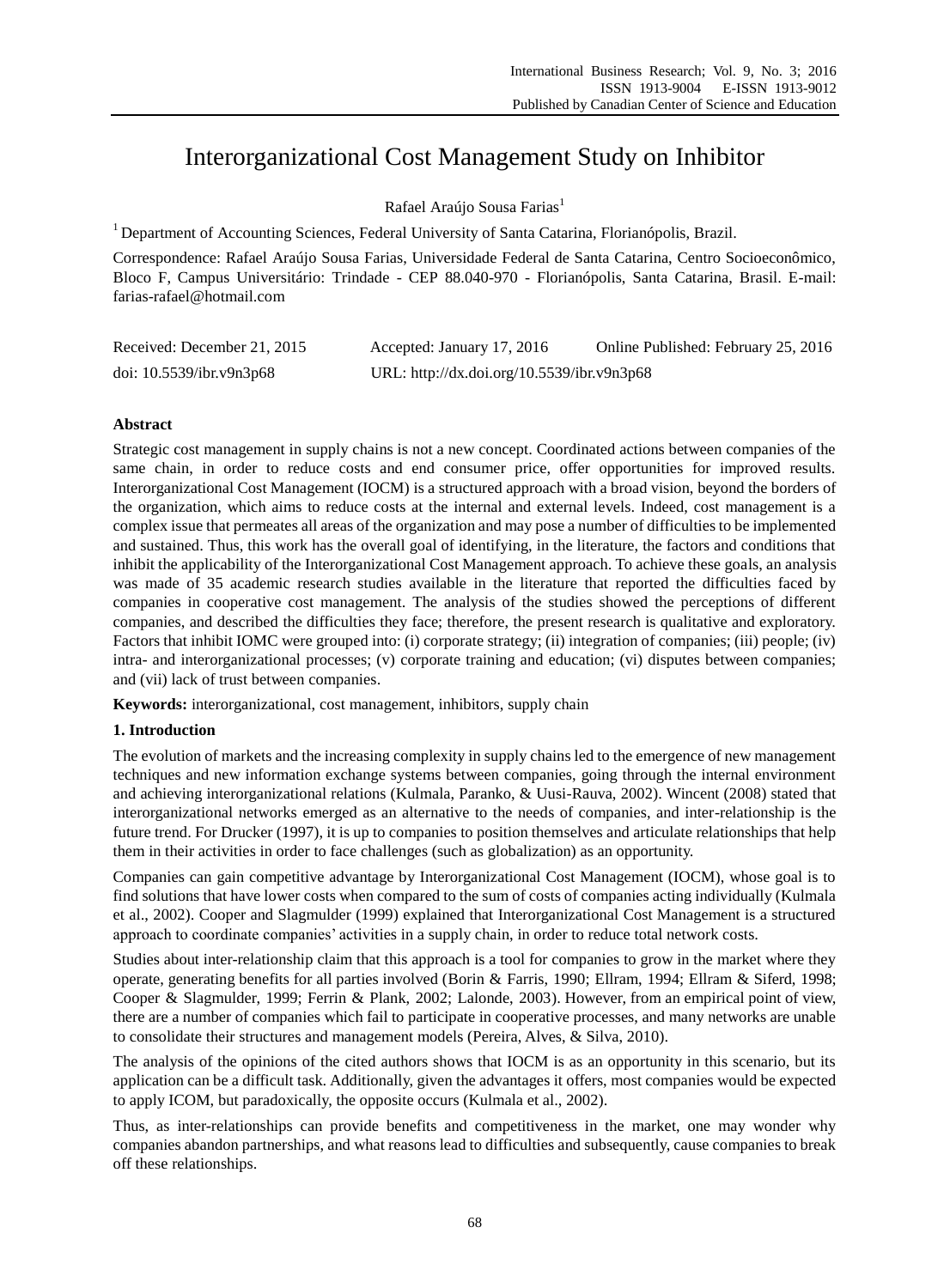# Interorganizational Cost Management Study on Inhibitor

Rafael Araújo Sousa Farias<sup>1</sup>

<sup>1</sup> Department of Accounting Sciences, Federal University of Santa Catarina, Florianópolis, Brazil.

Correspondence: Rafael Araújo Sousa Farias, Universidade Federal de Santa Catarina, Centro Socioeconômico, Bloco F, Campus Universitário: Trindade - CEP 88.040-970 - Florianópolis, Santa Catarina, Brasil. E-mail: farias-rafael@hotmail.com

| Received: December 21, 2015 | Accepted: January 17, 2016                 | Online Published: February 25, 2016 |
|-----------------------------|--------------------------------------------|-------------------------------------|
| doi: 10.5539/ibr.v9n3p68    | URL: http://dx.doi.org/10.5539/ibr.v9n3p68 |                                     |

# **Abstract**

Strategic cost management in supply chains is not a new concept. Coordinated actions between companies of the same chain, in order to reduce costs and end consumer price, offer opportunities for improved results. Interorganizational Cost Management (IOCM) is a structured approach with a broad vision, beyond the borders of the organization, which aims to reduce costs at the internal and external levels. Indeed, cost management is a complex issue that permeates all areas of the organization and may pose a number of difficulties to be implemented and sustained. Thus, this work has the overall goal of identifying, in the literature, the factors and conditions that inhibit the applicability of the Interorganizational Cost Management approach. To achieve these goals, an analysis was made of 35 academic research studies available in the literature that reported the difficulties faced by companies in cooperative cost management. The analysis of the studies showed the perceptions of different companies, and described the difficulties they face; therefore, the present research is qualitative and exploratory. Factors that inhibit IOMC were grouped into: (i) corporate strategy; (ii) integration of companies; (iii) people; (iv) intra- and interorganizational processes; (v) corporate training and education; (vi) disputes between companies; and (vii) lack of trust between companies.

**Keywords:** interorganizational, cost management, inhibitors, supply chain

# **1. Introduction**

The evolution of markets and the increasing complexity in supply chains led to the emergence of new management techniques and new information exchange systems between companies, going through the internal environment and achieving interorganizational relations (Kulmala, Paranko, & Uusi-Rauva, 2002). Wincent (2008) stated that interorganizational networks emerged as an alternative to the needs of companies, and inter-relationship is the future trend. For Drucker (1997), it is up to companies to position themselves and articulate relationships that help them in their activities in order to face challenges (such as globalization) as an opportunity.

Companies can gain competitive advantage by Interorganizational Cost Management (IOCM), whose goal is to find solutions that have lower costs when compared to the sum of costs of companies acting individually (Kulmala et al., 2002). Cooper and Slagmulder (1999) explained that Interorganizational Cost Management is a structured approach to coordinate companies' activities in a supply chain, in order to reduce total network costs.

Studies about inter-relationship claim that this approach is a tool for companies to grow in the market where they operate, generating benefits for all parties involved (Borin & Farris, 1990; Ellram, 1994; Ellram & Siferd, 1998; Cooper & Slagmulder, 1999; Ferrin & Plank, 2002; Lalonde, 2003). However, from an empirical point of view, there are a number of companies which fail to participate in cooperative processes, and many networks are unable to consolidate their structures and management models (Pereira, Alves, & Silva, 2010).

The analysis of the opinions of the cited authors shows that IOCM is as an opportunity in this scenario, but its application can be a difficult task. Additionally, given the advantages it offers, most companies would be expected to apply ICOM, but paradoxically, the opposite occurs (Kulmala et al., 2002).

Thus, as inter-relationships can provide benefits and competitiveness in the market, one may wonder why companies abandon partnerships, and what reasons lead to difficulties and subsequently, cause companies to break off these relationships.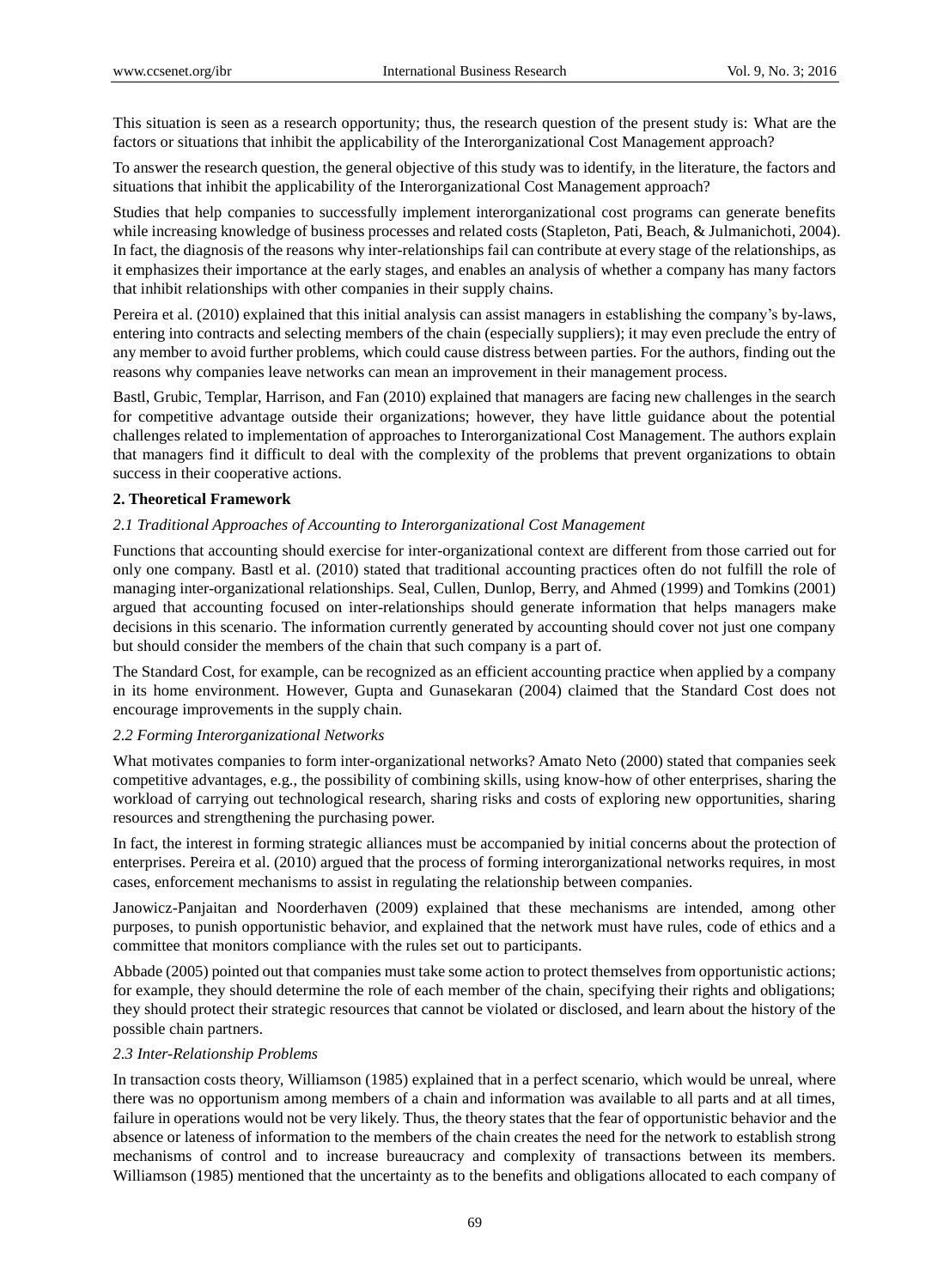This situation is seen as a research opportunity; thus, the research question of the present study is: What are the factors or situations that inhibit the applicability of the Interorganizational Cost Management approach?

To answer the research question, the general objective of this study was to identify, in the literature, the factors and situations that inhibit the applicability of the Interorganizational Cost Management approach?

Studies that help companies to successfully implement interorganizational cost programs can generate benefits while increasing knowledge of business processes and related costs (Stapleton, Pati, Beach, & Julmanichoti, 2004). In fact, the diagnosis of the reasons why inter-relationships fail can contribute at every stage of the relationships, as it emphasizes their importance at the early stages, and enables an analysis of whether a company has many factors that inhibit relationships with other companies in their supply chains.

Pereira et al. (2010) explained that this initial analysis can assist managers in establishing the company's by-laws, entering into contracts and selecting members of the chain (especially suppliers); it may even preclude the entry of any member to avoid further problems, which could cause distress between parties. For the authors, finding out the reasons why companies leave networks can mean an improvement in their management process.

Bastl, Grubic, Templar, Harrison, and Fan (2010) explained that managers are facing new challenges in the search for competitive advantage outside their organizations; however, they have little guidance about the potential challenges related to implementation of approaches to Interorganizational Cost Management. The authors explain that managers find it difficult to deal with the complexity of the problems that prevent organizations to obtain success in their cooperative actions.

# **2. Theoretical Framework**

## *2.1 Traditional Approaches of Accounting to Interorganizational Cost Management*

Functions that accounting should exercise for inter-organizational context are different from those carried out for only one company. Bastl et al. (2010) stated that traditional accounting practices often do not fulfill the role of managing inter-organizational relationships. Seal, Cullen, Dunlop, Berry, and Ahmed (1999) and Tomkins (2001) argued that accounting focused on inter-relationships should generate information that helps managers make decisions in this scenario. The information currently generated by accounting should cover not just one company but should consider the members of the chain that such company is a part of.

The Standard Cost, for example, can be recognized as an efficient accounting practice when applied by a company in its home environment. However, Gupta and Gunasekaran (2004) claimed that the Standard Cost does not encourage improvements in the supply chain.

# *2.2 Forming Interorganizational Networks*

What motivates companies to form inter-organizational networks? Amato Neto (2000) stated that companies seek competitive advantages, e.g., the possibility of combining skills, using know-how of other enterprises, sharing the workload of carrying out technological research, sharing risks and costs of exploring new opportunities, sharing resources and strengthening the purchasing power.

In fact, the interest in forming strategic alliances must be accompanied by initial concerns about the protection of enterprises. Pereira et al. (2010) argued that the process of forming interorganizational networks requires, in most cases, enforcement mechanisms to assist in regulating the relationship between companies.

Janowicz-Panjaitan and Noorderhaven (2009) explained that these mechanisms are intended, among other purposes, to punish opportunistic behavior, and explained that the network must have rules, code of ethics and a committee that monitors compliance with the rules set out to participants.

Abbade (2005) pointed out that companies must take some action to protect themselves from opportunistic actions; for example, they should determine the role of each member of the chain, specifying their rights and obligations; they should protect their strategic resources that cannot be violated or disclosed, and learn about the history of the possible chain partners.

#### *2.3 Inter-Relationship Problems*

In transaction costs theory, Williamson (1985) explained that in a perfect scenario, which would be unreal, where there was no opportunism among members of a chain and information was available to all parts and at all times, failure in operations would not be very likely. Thus, the theory states that the fear of opportunistic behavior and the absence or lateness of information to the members of the chain creates the need for the network to establish strong mechanisms of control and to increase bureaucracy and complexity of transactions between its members. Williamson (1985) mentioned that the uncertainty as to the benefits and obligations allocated to each company of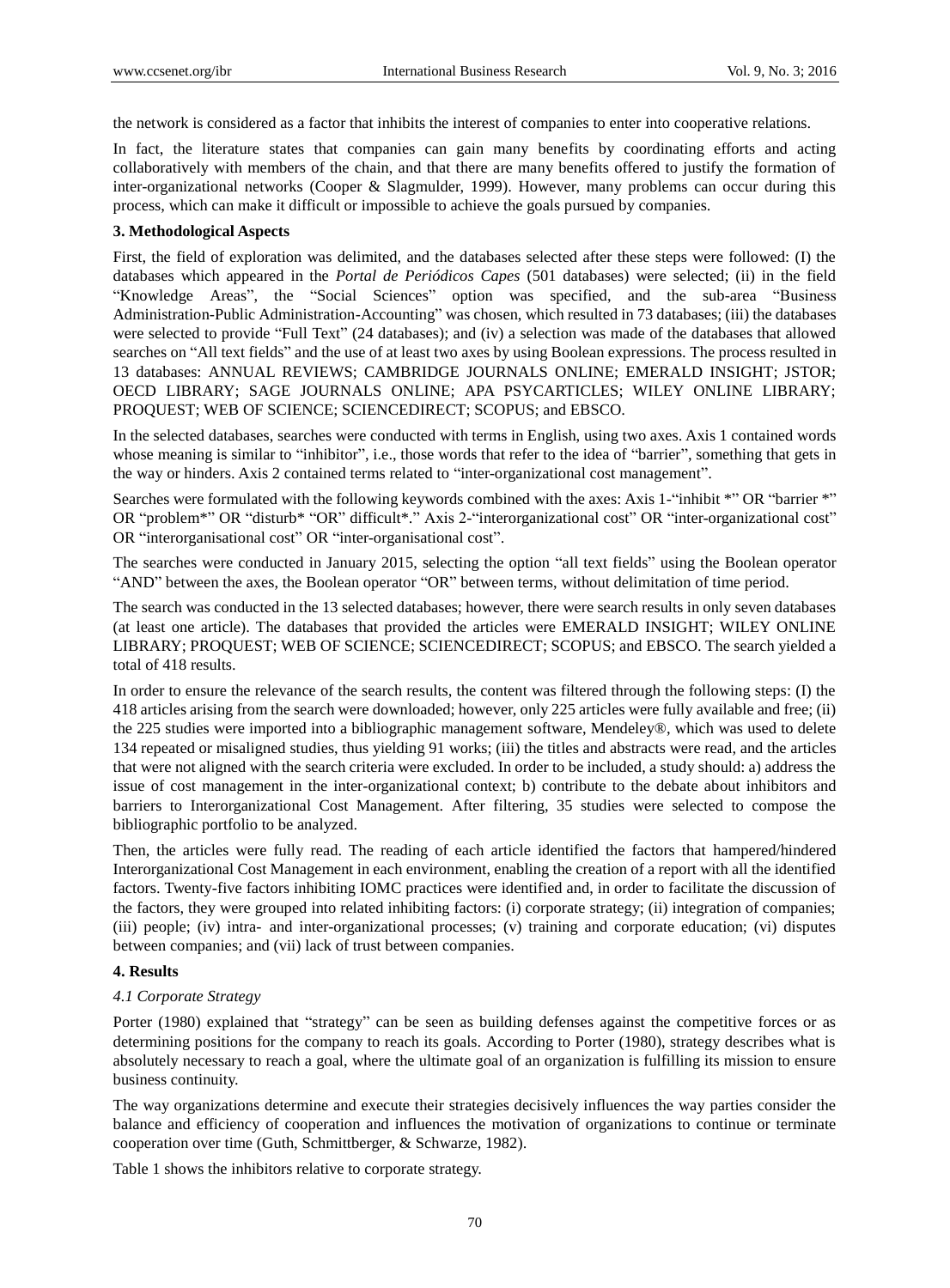the network is considered as a factor that inhibits the interest of companies to enter into cooperative relations.

In fact, the literature states that companies can gain many benefits by coordinating efforts and acting collaboratively with members of the chain, and that there are many benefits offered to justify the formation of inter-organizational networks (Cooper & Slagmulder, 1999). However, many problems can occur during this process, which can make it difficult or impossible to achieve the goals pursued by companies.

# **3. Methodological Aspects**

First, the field of exploration was delimited, and the databases selected after these steps were followed: (I) the databases which appeared in the *Portal de Periódicos Capes* (501 databases) were selected; (ii) in the field "Knowledge Areas", the "Social Sciences" option was specified, and the sub-area "Business Administration-Public Administration-Accounting" was chosen, which resulted in 73 databases; (iii) the databases were selected to provide "Full Text" (24 databases); and (iv) a selection was made of the databases that allowed searches on "All text fields" and the use of at least two axes by using Boolean expressions. The process resulted in 13 databases: ANNUAL REVIEWS; CAMBRIDGE JOURNALS ONLINE; EMERALD INSIGHT; JSTOR; OECD LIBRARY; SAGE JOURNALS ONLINE; APA PSYCARTICLES; WILEY ONLINE LIBRARY; PROQUEST; WEB OF SCIENCE; SCIENCEDIRECT; SCOPUS; and EBSCO.

In the selected databases, searches were conducted with terms in English, using two axes. Axis 1 contained words whose meaning is similar to "inhibitor", i.e., those words that refer to the idea of "barrier", something that gets in the way or hinders. Axis 2 contained terms related to "inter-organizational cost management".

Searches were formulated with the following keywords combined with the axes: Axis 1-"inhibit \*" OR "barrier \*" OR "problem\*" OR "disturb\* "OR" difficult\*." Axis 2-"interorganizational cost" OR "inter-organizational cost" OR "interorganisational cost" OR "inter-organisational cost".

The searches were conducted in January 2015, selecting the option "all text fields" using the Boolean operator "AND" between the axes, the Boolean operator "OR" between terms, without delimitation of time period.

The search was conducted in the 13 selected databases; however, there were search results in only seven databases (at least one article). The databases that provided the articles were EMERALD INSIGHT; WILEY ONLINE LIBRARY; PROQUEST; WEB OF SCIENCE; SCIENCEDIRECT; SCOPUS; and EBSCO. The search yielded a total of 418 results.

In order to ensure the relevance of the search results, the content was filtered through the following steps: (I) the 418 articles arising from the search were downloaded; however, only 225 articles were fully available and free; (ii) the 225 studies were imported into a bibliographic management software, Mendeley® , which was used to delete 134 repeated or misaligned studies, thus yielding 91 works; (iii) the titles and abstracts were read, and the articles that were not aligned with the search criteria were excluded. In order to be included, a study should: a) address the issue of cost management in the inter-organizational context; b) contribute to the debate about inhibitors and barriers to Interorganizational Cost Management. After filtering, 35 studies were selected to compose the bibliographic portfolio to be analyzed.

Then, the articles were fully read. The reading of each article identified the factors that hampered/hindered Interorganizational Cost Management in each environment, enabling the creation of a report with all the identified factors. Twenty-five factors inhibiting IOMC practices were identified and, in order to facilitate the discussion of the factors, they were grouped into related inhibiting factors: (i) corporate strategy; (ii) integration of companies; (iii) people; (iv) intra- and inter-organizational processes; (v) training and corporate education; (vi) disputes between companies; and (vii) lack of trust between companies.

# **4. Results**

# *4.1 Corporate Strategy*

Porter (1980) explained that "strategy" can be seen as building defenses against the competitive forces or as determining positions for the company to reach its goals. According to Porter (1980), strategy describes what is absolutely necessary to reach a goal, where the ultimate goal of an organization is fulfilling its mission to ensure business continuity.

The way organizations determine and execute their strategies decisively influences the way parties consider the balance and efficiency of cooperation and influences the motivation of organizations to continue or terminate cooperation over time (Guth, Schmittberger, & Schwarze, 1982).

Table 1 shows the inhibitors relative to corporate strategy.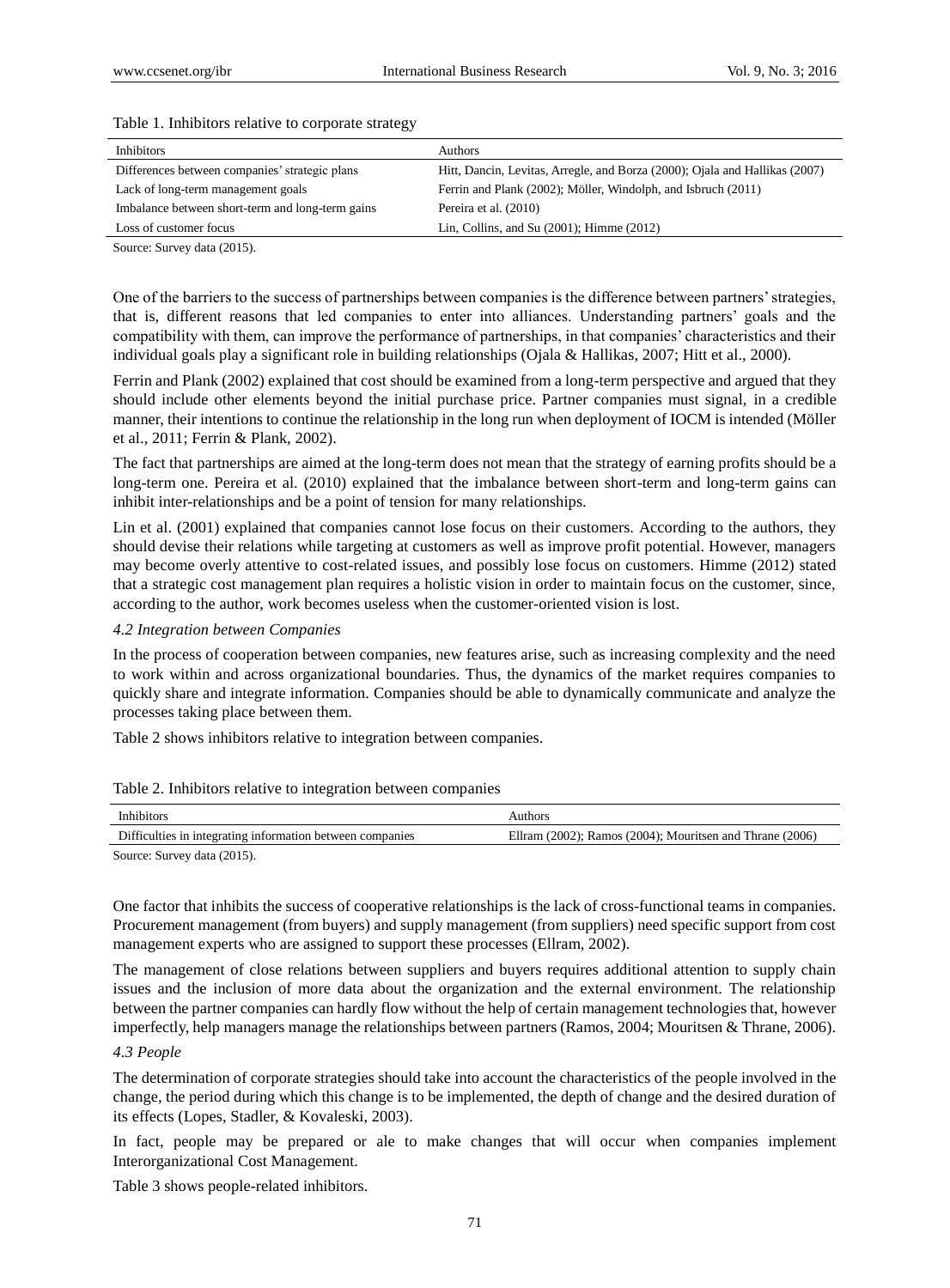| <b>Inhibitors</b>                                | Authors                                                                     |
|--------------------------------------------------|-----------------------------------------------------------------------------|
| Differences between companies' strategic plans   | Hitt, Dancin, Levitas, Arregle, and Borza (2000); Ojala and Hallikas (2007) |
| Lack of long-term management goals               | Ferrin and Plank (2002); Möller, Windolph, and Isbruch (2011)               |
| Imbalance between short-term and long-term gains | Pereira et al. (2010)                                                       |
| Loss of customer focus                           | Lin, Collins, and Su $(2001)$ ; Himme $(2012)$                              |
|                                                  |                                                                             |

# Table 1. Inhibitors relative to corporate strategy

Source: Survey data (2015).

One of the barriers to the success of partnerships between companies is the difference between partners' strategies, that is, different reasons that led companies to enter into alliances. Understanding partners' goals and the compatibility with them, can improve the performance of partnerships, in that companies' characteristics and their individual goals play a significant role in building relationships (Ojala & Hallikas, 2007; Hitt et al., 2000).

Ferrin and Plank (2002) explained that cost should be examined from a long-term perspective and argued that they should include other elements beyond the initial purchase price. Partner companies must signal, in a credible manner, their intentions to continue the relationship in the long run when deployment of IOCM is intended (Möller et al., 2011; Ferrin & Plank, 2002).

The fact that partnerships are aimed at the long-term does not mean that the strategy of earning profits should be a long-term one. Pereira et al. (2010) explained that the imbalance between short-term and long-term gains can inhibit inter-relationships and be a point of tension for many relationships.

Lin et al. (2001) explained that companies cannot lose focus on their customers. According to the authors, they should devise their relations while targeting at customers as well as improve profit potential. However, managers may become overly attentive to cost-related issues, and possibly lose focus on customers. Himme (2012) stated that a strategic cost management plan requires a holistic vision in order to maintain focus on the customer, since, according to the author, work becomes useless when the customer-oriented vision is lost.

# *4.2 Integration between Companies*

In the process of cooperation between companies, new features arise, such as increasing complexity and the need to work within and across organizational boundaries. Thus, the dynamics of the market requires companies to quickly share and integrate information. Companies should be able to dynamically communicate and analyze the processes taking place between them.

Table 2 shows inhibitors relative to integration between companies.

| Inhibitors                                                | Authors                                                  |
|-----------------------------------------------------------|----------------------------------------------------------|
| Difficulties in integrating information between companies | Ellram (2002): Ramos (2004): Mouritsen and Thrane (2006) |
| $\alpha$ $\alpha$ $\alpha$ $\alpha$                       |                                                          |

# Table 2. Inhibitors relative to integration between companies

Source: Survey data (2015).

One factor that inhibits the success of cooperative relationships is the lack of cross-functional teams in companies. Procurement management (from buyers) and supply management (from suppliers) need specific support from cost management experts who are assigned to support these processes (Ellram, 2002).

The management of close relations between suppliers and buyers requires additional attention to supply chain issues and the inclusion of more data about the organization and the external environment. The relationship between the partner companies can hardly flow without the help of certain management technologies that, however imperfectly, help managers manage the relationships between partners (Ramos, 2004; Mouritsen & Thrane, 2006).

# *4.3 People*

The determination of corporate strategies should take into account the characteristics of the people involved in the change, the period during which this change is to be implemented, the depth of change and the desired duration of its effects (Lopes, Stadler, & Kovaleski, 2003).

In fact, people may be prepared or ale to make changes that will occur when companies implement Interorganizational Cost Management.

Table 3 shows people-related inhibitors.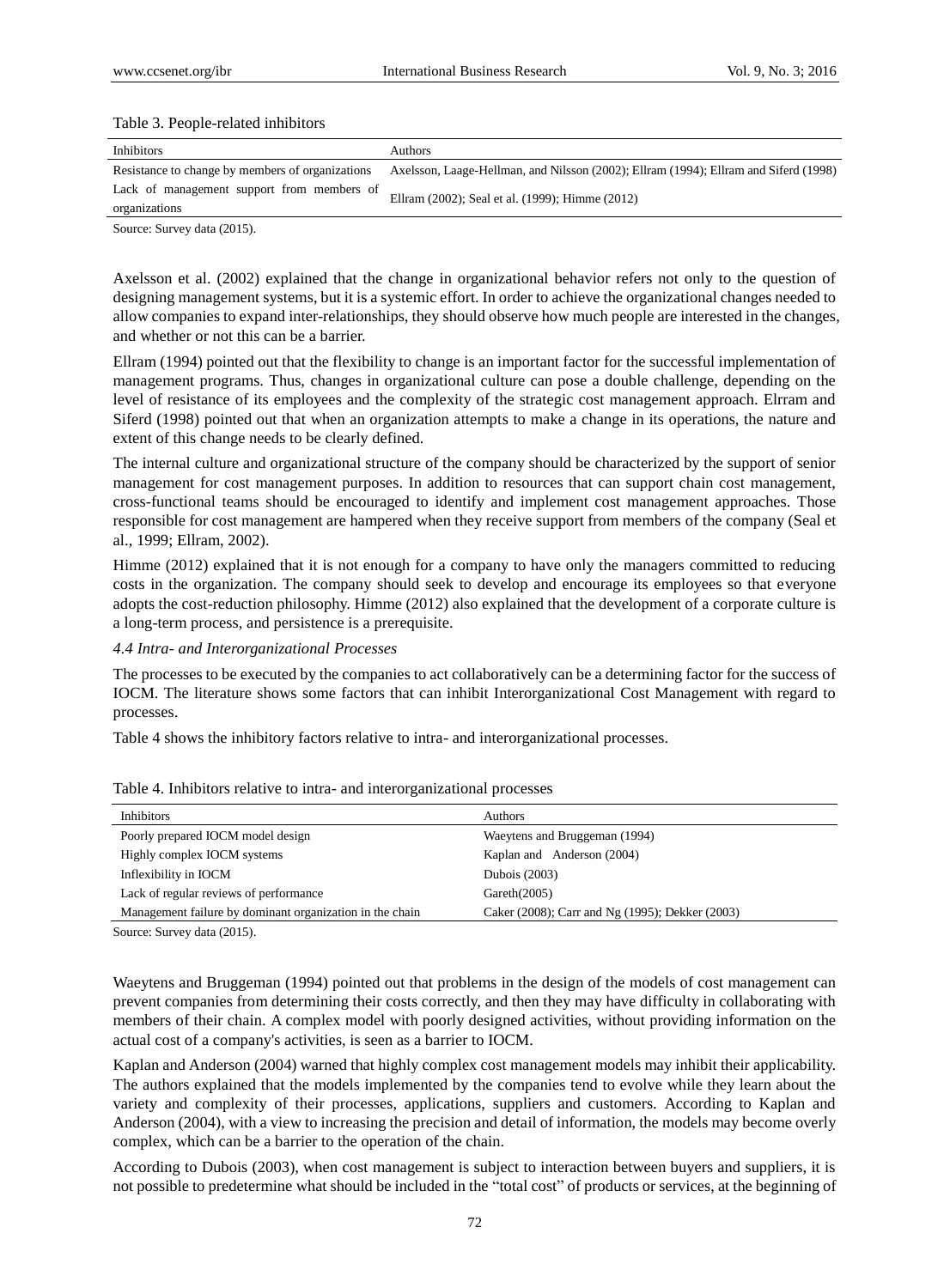# Table 3. People-related inhibitors

| Inhibitors                                       | Authors                                                                              |
|--------------------------------------------------|--------------------------------------------------------------------------------------|
| Resistance to change by members of organizations | Axelsson, Laage-Hellman, and Nilsson (2002); Ellram (1994); Ellram and Siferd (1998) |
| Lack of management support from members of       | Ellram (2002); Seal et al. (1999); Himme (2012)                                      |
| organizations                                    |                                                                                      |
|                                                  |                                                                                      |

Source: Survey data (2015).

Axelsson et al. (2002) explained that the change in organizational behavior refers not only to the question of designing management systems, but it is a systemic effort. In order to achieve the organizational changes needed to allow companies to expand inter-relationships, they should observe how much people are interested in the changes, and whether or not this can be a barrier.

Ellram (1994) pointed out that the flexibility to change is an important factor for the successful implementation of management programs. Thus, changes in organizational culture can pose a double challenge, depending on the level of resistance of its employees and the complexity of the strategic cost management approach. Elrram and Siferd (1998) pointed out that when an organization attempts to make a change in its operations, the nature and extent of this change needs to be clearly defined.

The internal culture and organizational structure of the company should be characterized by the support of senior management for cost management purposes. In addition to resources that can support chain cost management, cross-functional teams should be encouraged to identify and implement cost management approaches. Those responsible for cost management are hampered when they receive support from members of the company (Seal et al., 1999; Ellram, 2002).

Himme (2012) explained that it is not enough for a company to have only the managers committed to reducing costs in the organization. The company should seek to develop and encourage its employees so that everyone adopts the cost-reduction philosophy. Himme (2012) also explained that the development of a corporate culture is a long-term process, and persistence is a prerequisite.

*4.4 Intra- and Interorganizational Processes*

The processes to be executed by the companies to act collaboratively can be a determining factor for the success of IOCM. The literature shows some factors that can inhibit Interorganizational Cost Management with regard to processes.

Table 4 shows the inhibitory factors relative to intra- and interorganizational processes.

| <b>Inhibitors</b>                                        | Authors                                         |
|----------------------------------------------------------|-------------------------------------------------|
| Poorly prepared IOCM model design                        | Waeytens and Bruggeman (1994)                   |
| Highly complex IOCM systems                              | Kaplan and Anderson (2004)                      |
| Inflexibility in IOCM                                    | Dubois (2003)                                   |
| Lack of regular reviews of performance                   | Gareth $(2005)$                                 |
| Management failure by dominant organization in the chain | Caker (2008); Carr and Ng (1995); Dekker (2003) |

| Table 4. Inhibitors relative to intra- and interorganizational processes |  |  |  |  |  |  |  |
|--------------------------------------------------------------------------|--|--|--|--|--|--|--|
|--------------------------------------------------------------------------|--|--|--|--|--|--|--|

Source: Survey data (2015).

Waeytens and Bruggeman (1994) pointed out that problems in the design of the models of cost management can prevent companies from determining their costs correctly, and then they may have difficulty in collaborating with members of their chain. A complex model with poorly designed activities, without providing information on the actual cost of a company's activities, is seen as a barrier to IOCM.

Kaplan and Anderson (2004) warned that highly complex cost management models may inhibit their applicability. The authors explained that the models implemented by the companies tend to evolve while they learn about the variety and complexity of their processes, applications, suppliers and customers. According to Kaplan and Anderson (2004), with a view to increasing the precision and detail of information, the models may become overly complex, which can be a barrier to the operation of the chain.

According to Dubois (2003), when cost management is subject to interaction between buyers and suppliers, it is not possible to predetermine what should be included in the "total cost" of products or services, at the beginning of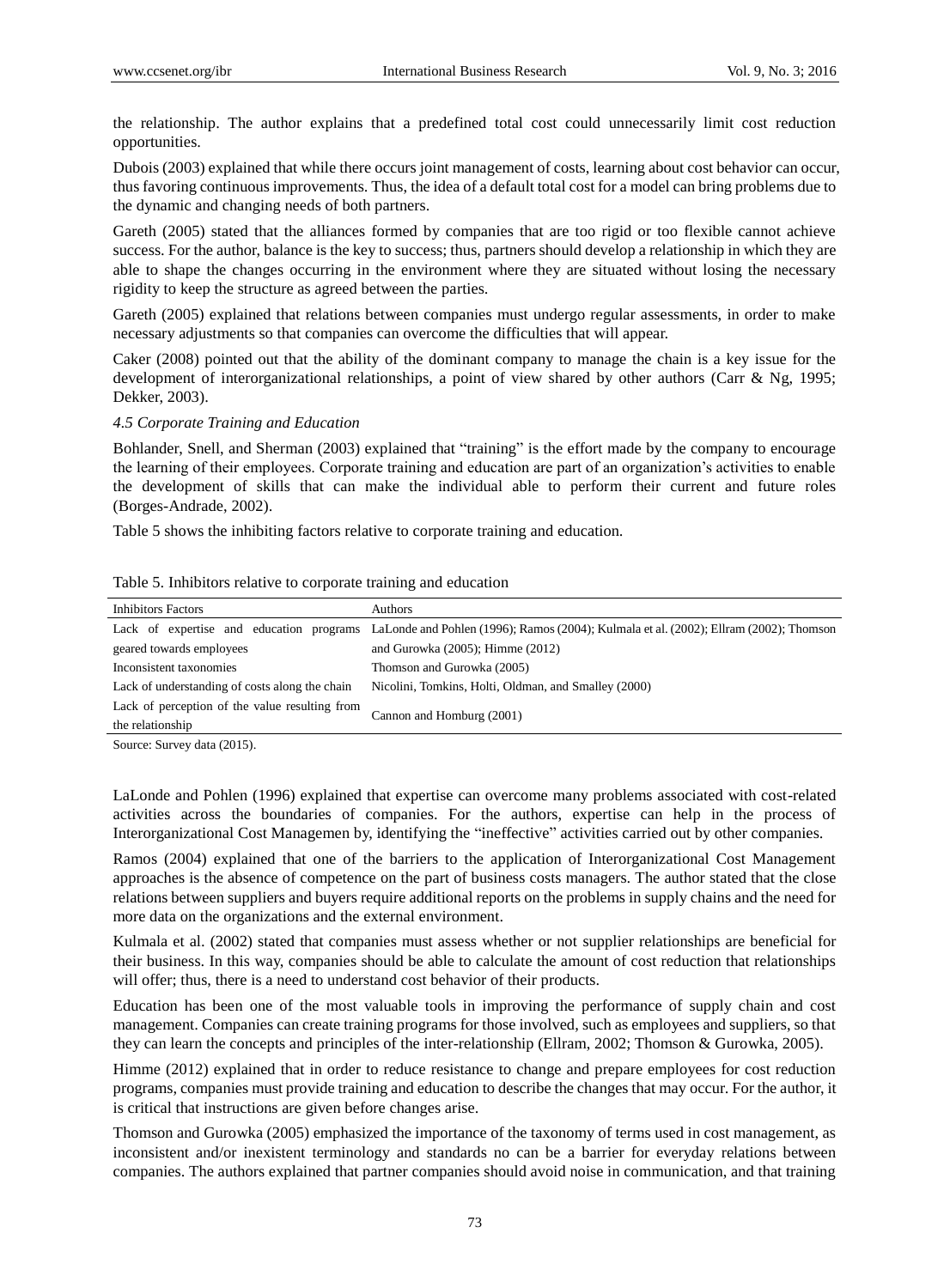the relationship. The author explains that a predefined total cost could unnecessarily limit cost reduction opportunities.

Dubois (2003) explained that while there occurs joint management of costs, learning about cost behavior can occur, thus favoring continuous improvements. Thus, the idea of a default total cost for a model can bring problems due to the dynamic and changing needs of both partners.

Gareth (2005) stated that the alliances formed by companies that are too rigid or too flexible cannot achieve success. For the author, balance is the key to success; thus, partners should develop a relationship in which they are able to shape the changes occurring in the environment where they are situated without losing the necessary rigidity to keep the structure as agreed between the parties.

Gareth (2005) explained that relations between companies must undergo regular assessments, in order to make necessary adjustments so that companies can overcome the difficulties that will appear.

Caker (2008) pointed out that the ability of the dominant company to manage the chain is a key issue for the development of interorganizational relationships, a point of view shared by other authors (Carr & Ng, 1995; Dekker, 2003).

## *4.5 Corporate Training and Education*

Bohlander, Snell, and Sherman (2003) explained that "training" is the effort made by the company to encourage the learning of their employees. Corporate training and education are part of an organization's activities to enable the development of skills that can make the individual able to perform their current and future roles (Borges-Andrade, 2002).

Table 5 shows the inhibiting factors relative to corporate training and education.

| <b>Inhibitors Factors</b>                      | <b>Authors</b>                                                                         |  |
|------------------------------------------------|----------------------------------------------------------------------------------------|--|
| Lack of expertise and education programs       | LaLonde and Pohlen (1996); Ramos (2004); Kulmala et al. (2002); Ellram (2002); Thomson |  |
| geared towards employees                       | and Gurowka $(2005)$ ; Himme $(2012)$                                                  |  |
| Inconsistent taxonomies                        | Thomson and Gurowka (2005)                                                             |  |
| Lack of understanding of costs along the chain | Nicolini, Tomkins, Holti, Oldman, and Smalley (2000)                                   |  |
| Lack of perception of the value resulting from |                                                                                        |  |
| the relationship                               | Cannon and Homburg (2001)                                                              |  |
|                                                |                                                                                        |  |

#### Table 5. Inhibitors relative to corporate training and education

Source: Survey data (2015).

LaLonde and Pohlen (1996) explained that expertise can overcome many problems associated with cost-related activities across the boundaries of companies. For the authors, expertise can help in the process of Interorganizational Cost Managemen by, identifying the "ineffective" activities carried out by other companies.

Ramos (2004) explained that one of the barriers to the application of Interorganizational Cost Management approaches is the absence of competence on the part of business costs managers. The author stated that the close relations between suppliers and buyers require additional reports on the problems in supply chains and the need for more data on the organizations and the external environment.

Kulmala et al. (2002) stated that companies must assess whether or not supplier relationships are beneficial for their business. In this way, companies should be able to calculate the amount of cost reduction that relationships will offer; thus, there is a need to understand cost behavior of their products.

Education has been one of the most valuable tools in improving the performance of supply chain and cost management. Companies can create training programs for those involved, such as employees and suppliers, so that they can learn the concepts and principles of the inter-relationship (Ellram, 2002; Thomson & Gurowka, 2005).

Himme (2012) explained that in order to reduce resistance to change and prepare employees for cost reduction programs, companies must provide training and education to describe the changes that may occur. For the author, it is critical that instructions are given before changes arise.

Thomson and Gurowka (2005) emphasized the importance of the taxonomy of terms used in cost management, as inconsistent and/or inexistent terminology and standards no can be a barrier for everyday relations between companies. The authors explained that partner companies should avoid noise in communication, and that training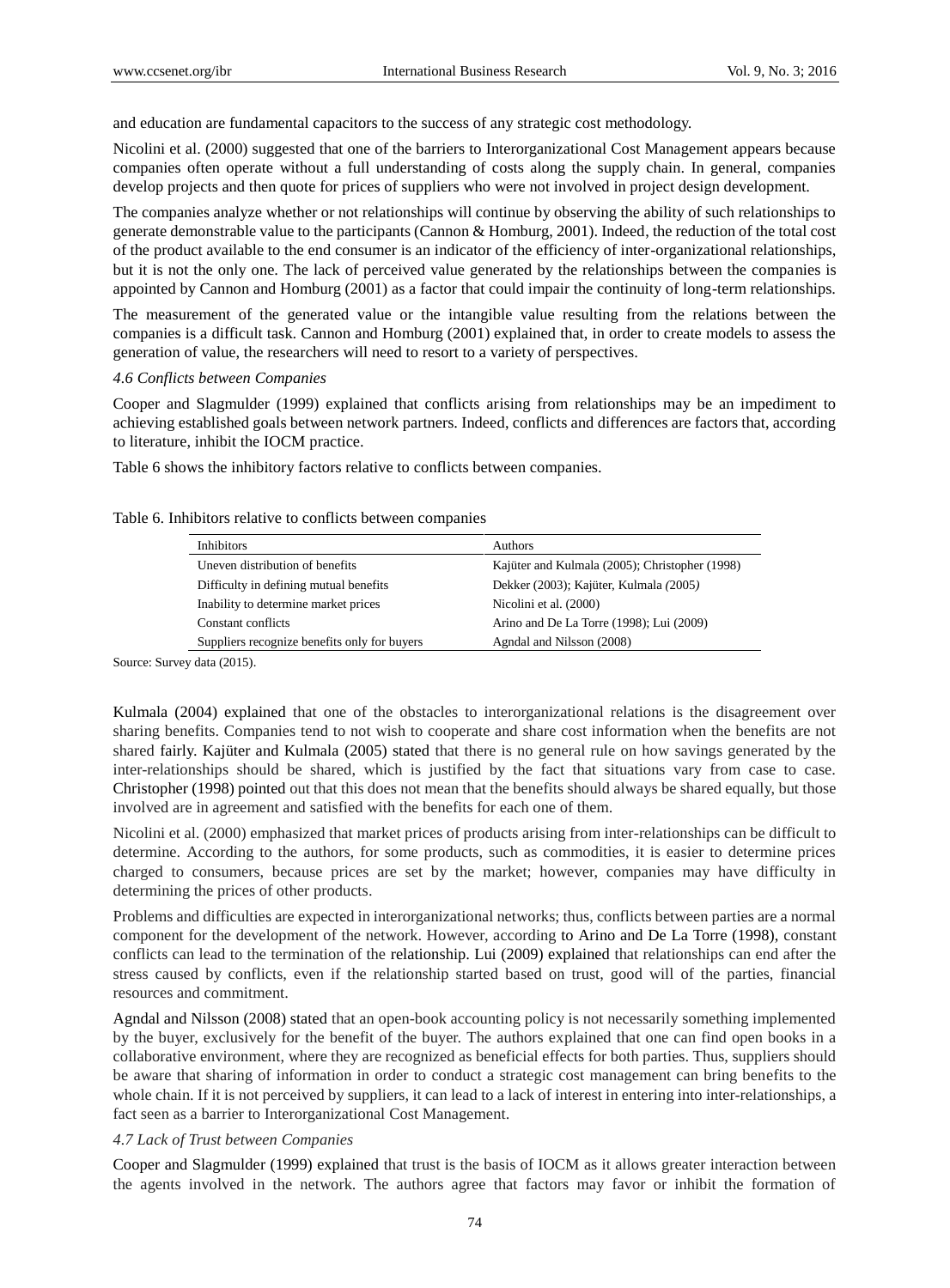and education are fundamental capacitors to the success of any strategic cost methodology.

Nicolini et al. (2000) suggested that one of the barriers to Interorganizational Cost Management appears because companies often operate without a full understanding of costs along the supply chain. In general, companies develop projects and then quote for prices of suppliers who were not involved in project design development.

The companies analyze whether or not relationships will continue by observing the ability of such relationships to generate demonstrable value to the participants (Cannon & Homburg, 2001). Indeed, the reduction of the total cost of the product available to the end consumer is an indicator of the efficiency of inter-organizational relationships, but it is not the only one. The lack of perceived value generated by the relationships between the companies is appointed by Cannon and Homburg (2001) as a factor that could impair the continuity of long-term relationships.

The measurement of the generated value or the intangible value resulting from the relations between the companies is a difficult task. Cannon and Homburg (2001) explained that, in order to create models to assess the generation of value, the researchers will need to resort to a variety of perspectives.

# *4.6 Conflicts between Companies*

Cooper and Slagmulder (1999) explained that conflicts arising from relationships may be an impediment to achieving established goals between network partners. Indeed, conflicts and differences are factors that, according to literature, inhibit the IOCM practice.

Table 6 shows the inhibitory factors relative to conflicts between companies.

#### Table 6. Inhibitors relative to conflicts between companies

| Inhibitors                                   | Authors                                        |
|----------------------------------------------|------------------------------------------------|
| Uneven distribution of benefits              | Kajüter and Kulmala (2005); Christopher (1998) |
| Difficulty in defining mutual benefits       | Dekker (2003); Kajüter, Kulmala (2005)         |
| Inability to determine market prices         | Nicolini et al. (2000)                         |
| Constant conflicts                           | Arino and De La Torre (1998); Lui (2009)       |
| Suppliers recognize benefits only for buyers | Agndal and Nilsson (2008)                      |

Source: Survey data (2015).

Kulmala (2004) explained that one of the obstacles to interorganizational relations is the disagreement over sharing benefits. Companies tend to not wish to cooperate and share cost information when the benefits are not shared fairly. Kajüter and Kulmala (2005) stated that there is no general rule on how savings generated by the inter-relationships should be shared, which is justified by the fact that situations vary from case to case. Christopher (1998) pointed out that this does not mean that the benefits should always be shared equally, but those involved are in agreement and satisfied with the benefits for each one of them.

Nicolini et al. (2000) emphasized that market prices of products arising from inter-relationships can be difficult to determine. According to the authors, for some products, such as commodities, it is easier to determine prices charged to consumers, because prices are set by the market; however, companies may have difficulty in determining the prices of other products.

Problems and difficulties are expected in interorganizational networks; thus, conflicts between parties are a normal component for the development of the network. However, according to Arino and De La Torre (1998), constant conflicts can lead to the termination of the relationship. Lui (2009) explained that relationships can end after the stress caused by conflicts, even if the relationship started based on trust, good will of the parties, financial resources and commitment.

Agndal and Nilsson (2008) stated that an open-book accounting policy is not necessarily something implemented by the buyer, exclusively for the benefit of the buyer. The authors explained that one can find open books in a collaborative environment, where they are recognized as beneficial effects for both parties. Thus, suppliers should be aware that sharing of information in order to conduct a strategic cost management can bring benefits to the whole chain. If it is not perceived by suppliers, it can lead to a lack of interest in entering into inter-relationships, a fact seen as a barrier to Interorganizational Cost Management.

## *4.7 Lack of Trust between Companies*

Cooper and Slagmulder (1999) explained that trust is the basis of IOCM as it allows greater interaction between the agents involved in the network. The authors agree that factors may favor or inhibit the formation of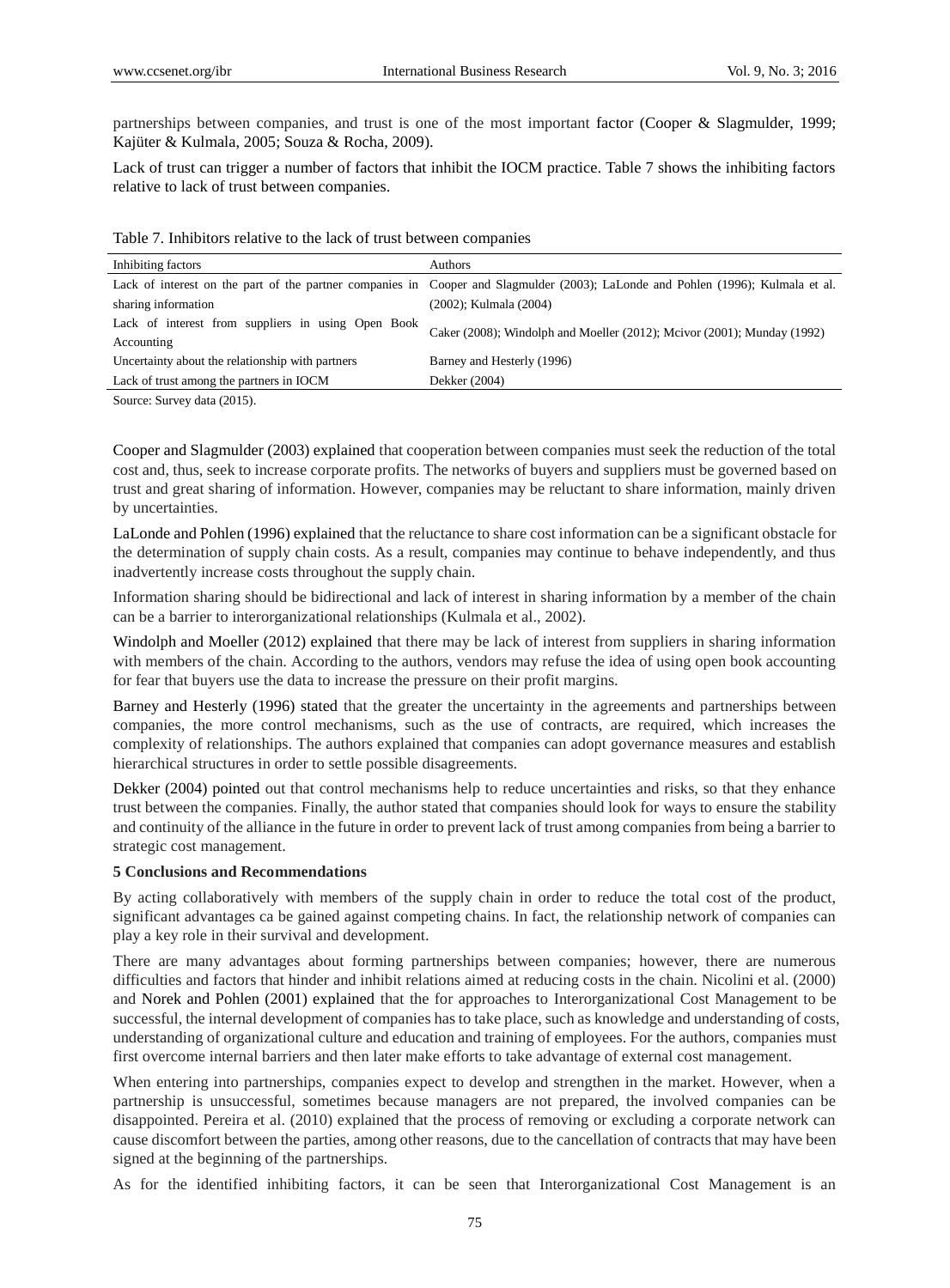partnerships between companies, and trust is one of the most important factor (Cooper & Slagmulder, 1999; Kajüter & Kulmala, 2005; Souza & Rocha, 2009).

Lack of trust can trigger a number of factors that inhibit the IOCM practice. Table 7 shows the inhibiting factors relative to lack of trust between companies.

Table 7. Inhibitors relative to the lack of trust between companies

| Inhibiting factors                                 | <b>Authors</b>                                                                                                                   |  |
|----------------------------------------------------|----------------------------------------------------------------------------------------------------------------------------------|--|
|                                                    | Lack of interest on the part of the partner companies in Cooper and Slagmulder (2003); LaLonde and Pohlen (1996); Kulmala et al. |  |
| sharing information                                | (2002); Kulmala (2004)                                                                                                           |  |
| Lack of interest from suppliers in using Open Book | Caker (2008); Windolph and Moeller (2012); Mcivor (2001); Munday (1992)                                                          |  |
| Accounting                                         |                                                                                                                                  |  |
| Uncertainty about the relationship with partners   | Barney and Hesterly (1996)                                                                                                       |  |
| Lack of trust among the partners in IOCM           | Dekker (2004)                                                                                                                    |  |
|                                                    |                                                                                                                                  |  |

Source: Survey data (2015).

Cooper and Slagmulder (2003) explained that cooperation between companies must seek the reduction of the total cost and, thus, seek to increase corporate profits. The networks of buyers and suppliers must be governed based on trust and great sharing of information. However, companies may be reluctant to share information, mainly driven by uncertainties.

LaLonde and Pohlen (1996) explained that the reluctance to share cost information can be a significant obstacle for the determination of supply chain costs. As a result, companies may continue to behave independently, and thus inadvertently increase costs throughout the supply chain.

Information sharing should be bidirectional and lack of interest in sharing information by a member of the chain can be a barrier to interorganizational relationships (Kulmala et al., 2002).

Windolph and Moeller (2012) explained that there may be lack of interest from suppliers in sharing information with members of the chain. According to the authors, vendors may refuse the idea of using open book accounting for fear that buyers use the data to increase the pressure on their profit margins.

Barney and Hesterly (1996) stated that the greater the uncertainty in the agreements and partnerships between companies, the more control mechanisms, such as the use of contracts, are required, which increases the complexity of relationships. The authors explained that companies can adopt governance measures and establish hierarchical structures in order to settle possible disagreements.

Dekker (2004) pointed out that control mechanisms help to reduce uncertainties and risks, so that they enhance trust between the companies. Finally, the author stated that companies should look for ways to ensure the stability and continuity of the alliance in the future in order to prevent lack of trust among companies from being a barrier to strategic cost management.

# **5 Conclusions and Recommendations**

By acting collaboratively with members of the supply chain in order to reduce the total cost of the product, significant advantages ca be gained against competing chains. In fact, the relationship network of companies can play a key role in their survival and development.

There are many advantages about forming partnerships between companies; however, there are numerous difficulties and factors that hinder and inhibit relations aimed at reducing costs in the chain. Nicolini et al. (2000) and Norek and Pohlen (2001) explained that the for approaches to Interorganizational Cost Management to be successful, the internal development of companies has to take place, such as knowledge and understanding of costs, understanding of organizational culture and education and training of employees. For the authors, companies must first overcome internal barriers and then later make efforts to take advantage of external cost management.

When entering into partnerships, companies expect to develop and strengthen in the market. However, when a partnership is unsuccessful, sometimes because managers are not prepared, the involved companies can be disappointed. Pereira et al. (2010) explained that the process of removing or excluding a corporate network can cause discomfort between the parties, among other reasons, due to the cancellation of contracts that may have been signed at the beginning of the partnerships.

As for the identified inhibiting factors, it can be seen that Interorganizational Cost Management is an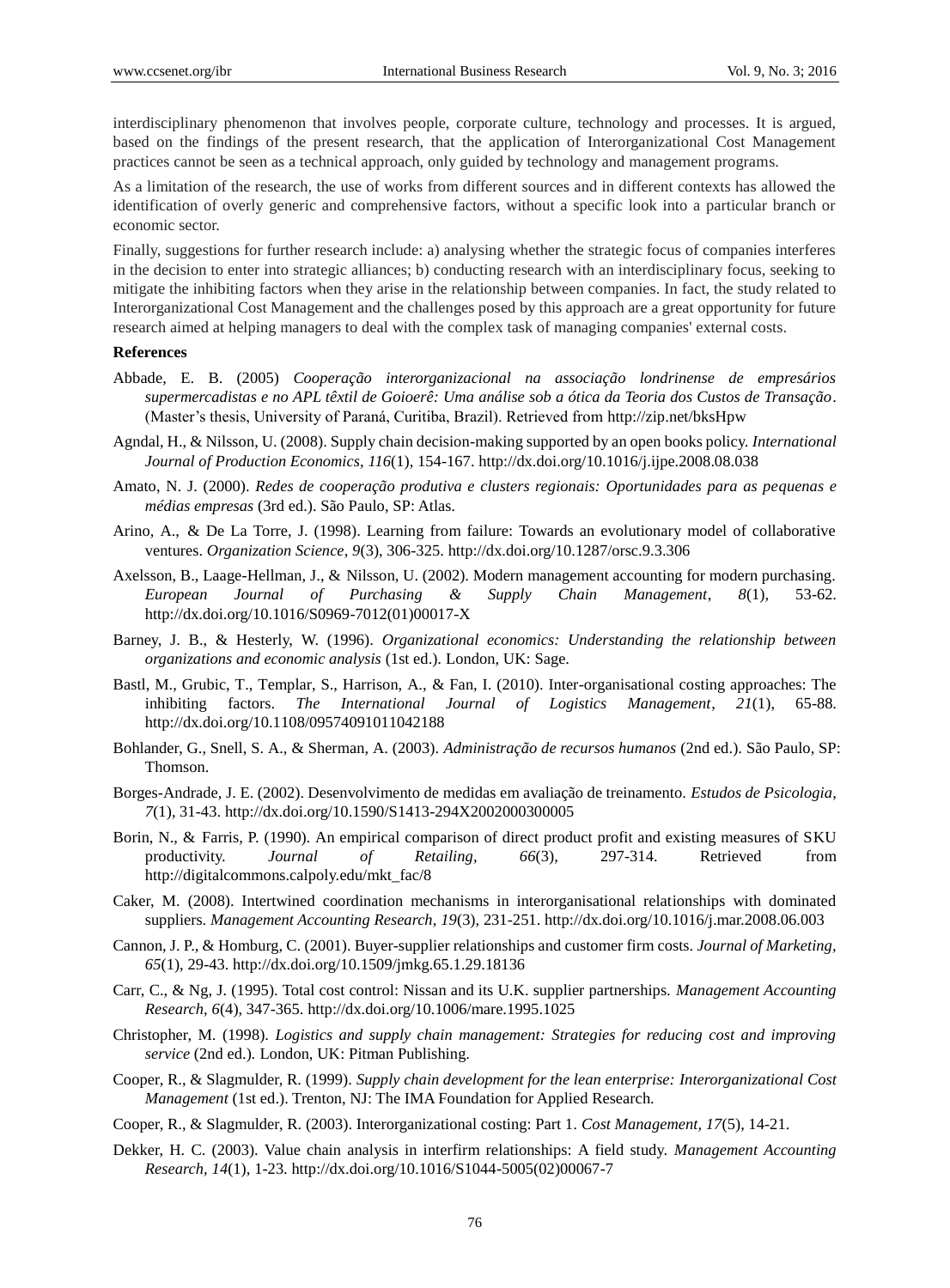interdisciplinary phenomenon that involves people, corporate culture, technology and processes. It is argued, based on the findings of the present research, that the application of Interorganizational Cost Management practices cannot be seen as a technical approach, only guided by technology and management programs.

As a limitation of the research, the use of works from different sources and in different contexts has allowed the identification of overly generic and comprehensive factors, without a specific look into a particular branch or economic sector.

Finally, suggestions for further research include: a) analysing whether the strategic focus of companies interferes in the decision to enter into strategic alliances; b) conducting research with an interdisciplinary focus, seeking to mitigate the inhibiting factors when they arise in the relationship between companies. In fact, the study related to Interorganizational Cost Management and the challenges posed by this approach are a great opportunity for future research aimed at helping managers to deal with the complex task of managing companies' external costs.

# **References**

- Abbade, E. B. (2005) *Cooperação interorganizacional na associação londrinense de empresários supermercadistas e no APL têxtil de Goioerê: Uma análise sob a ótica da Teoria dos Custos de Transação*. (Master's thesis, University of Paraná, Curitiba, Brazil). Retrieved from<http://zip.net/bksHpw>
- Agndal, H., & Nilsson, U. (2008). Supply chain decision-making supported by an open books policy. *International Journal of Production Economics*, *116*(1), 154-167. http://dx.doi.org[/10.1016/j.ijpe.2008.08.038](http://dx.doi.org/10.1016/j.ijpe.2008.08.038)
- Amato, N. J. (2000). *Redes de cooperação produtiva e clusters regionais: Oportunidades para as pequenas e médias empresas* (3rd ed.). São Paulo, SP: Atlas.
- Arino, A., & De La Torre, J. (1998). Learning from failure: Towards an evolutionary model of collaborative ventures. *Organization Science*, *9*(3), 306-325.<http://dx.doi.org/10.1287/orsc.9.3.306>
- Axelsson, B., Laage-Hellman, J., & Nilsson, U. (2002). Modern management accounting for modern purchasing. *European Journal of Purchasing & Supply Chain Management*, *8*(1), 53-62. [http://dx.doi.org/10.1016/S0969-7012\(01\)00017-X](http://dx.doi.org/10.1016/S0969-7012(01)00017-X)
- Barney, J. B., & Hesterly, W. (1996). *Organizational economics: Understanding the relationship between organizations and economic analysis* (1st ed.)*.* London, UK: Sage.
- Bastl, M., Grubic, T., Templar, S., Harrison, A., & Fan, I. (2010). Inter-organisational costing approaches: The inhibiting factors. *The International Journal of Logistics Management*, *21*(1), 65-88. <http://dx.doi.org/10.1108/09574091011042188>
- Bohlander, G., Snell, S. A., & Sherman, A. (2003). *Administração de recursos humanos* (2nd ed.). São Paulo, SP: Thomson.
- Borges-Andrade, J. E. (2002). Desenvolvimento de medidas em avaliação de treinamento. *Estudos de Psicologia*, *7*(1), 31-43.<http://dx.doi.org/10.1590/S1413-294X2002000300005>
- Borin, N., & Farris, P. (1990). An empirical comparison of direct product profit and existing measures of SKU productivity. *Journal of Retailing, 66*(3), 297-314. Retrieved from [http://digitalcommons.calpoly.edu/mkt\\_fac/8](http://digitalcommons.calpoly.edu/mkt_fac/8)
- Caker, M. (2008). Intertwined coordination mechanisms in interorganisational relationships with dominated suppliers. *Management Accounting Research, 19*(3), 231-251. <http://dx.doi.org/10.1016/j.mar.2008.06.003>
- Cannon, J. P., & Homburg, C. (2001). Buyer-supplier relationships and customer firm costs. *Journal of Marketing, 65*(1), 29-43.<http://dx.doi.org/10.1509/jmkg.65.1.29.18136>
- Carr, C., & Ng, J. (1995). Total cost control: Nissan and its U.K. supplier partnerships. *Management Accounting Research, 6*(4), 347-365[. http://dx.doi.org/10.1006/mare.1995.1025](http://dx.doi.org/10.1006/mare.1995.1025)
- Christopher, M. (1998). *Logistics and supply chain management: Strategies for reducing cost and improving service* (2nd ed.)*.* London, UK: Pitman Publishing.
- Cooper, R., & Slagmulder, R. (1999). *Supply chain development for the lean enterprise: Interorganizational Cost Management* (1st ed.). Trenton, NJ: The IMA Foundation for Applied Research.
- Cooper, R., & Slagmulder, R. (2003). Interorganizational costing: Part 1. *Cost Management, 17*(5), 14-21.
- Dekker, H. C. (2003). Value chain analysis in interfirm relationships: A field study. *Management Accounting Research, 14*(1), 1-23[. http://dx.doi.org/10.1016/S1044-5005\(02\)00067-7](http://dx.doi.org/10.1016/S1044-5005(02)00067-7)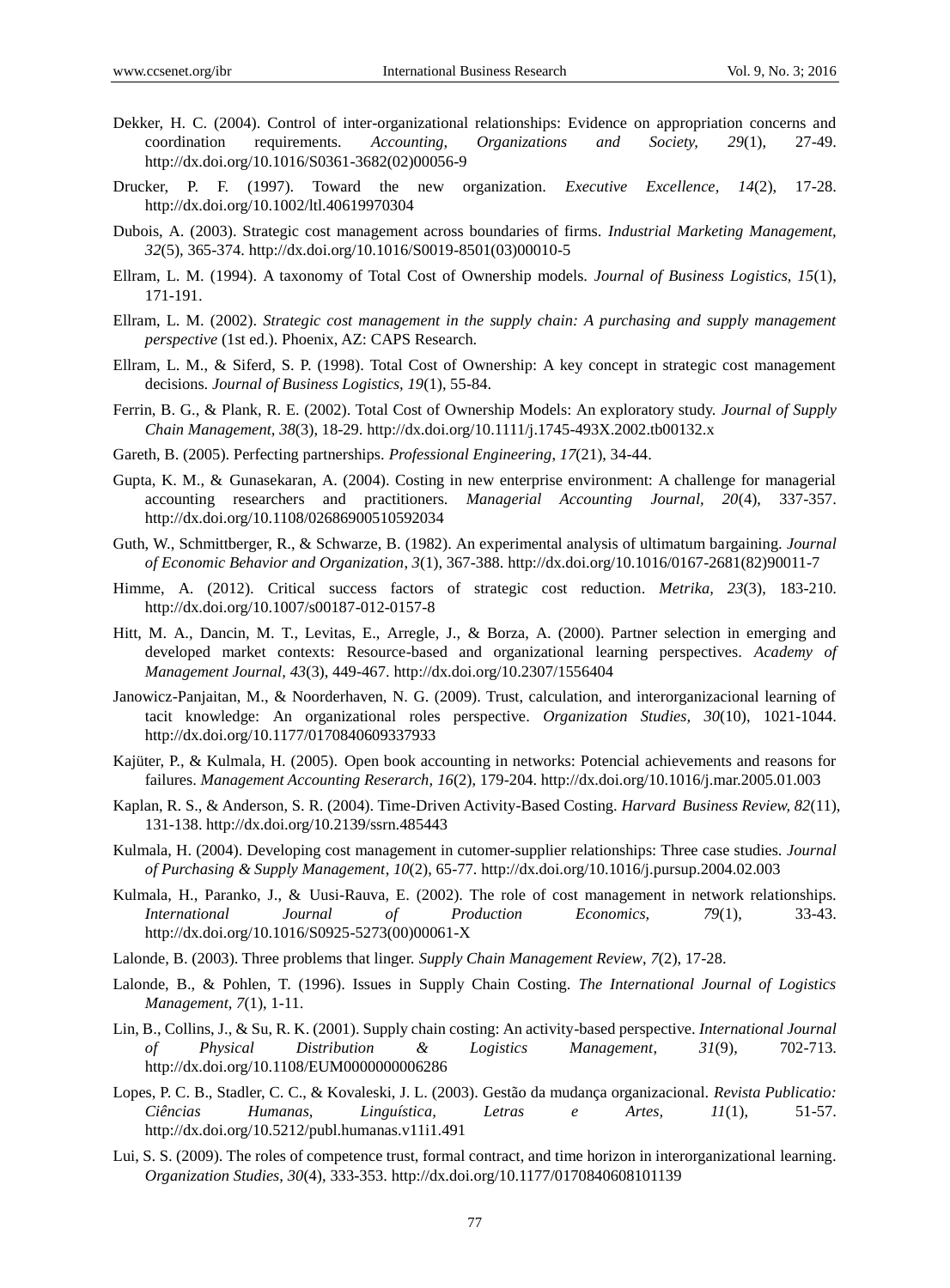- Dekker, H. C. (2004). Control of inter-organizational relationships: Evidence on appropriation concerns and coordination requirements. *Accounting, Organizations and Society, 29*(1), 27-49. [http://dx.doi.org/10.1016/S0361-3682\(02\)00056-9](http://dx.doi.org/10.1016/S0361-3682%2802%2900056-9)
- Drucker, P. F. (1997). Toward the new organization. *Executive Excellence, 14*(2), 17-28. <http://dx.doi.org/10.1002/ltl.40619970304>
- Dubois, A. (2003). Strategic cost management across boundaries of firms. *Industrial Marketing Management, 32*(5), 365-374. [http://dx.doi.org/10.1016/S0019-8501\(03\)00010-5](http://dx.doi.org/10.1016/S0019-8501%2803%2900010-5)
- Ellram, L. M. (1994). A taxonomy of Total Cost of Ownership models. *Journal of Business Logistics, 15*(1), 171-191.
- Ellram, L. M. (2002). *Strategic cost management in the supply chain: A purchasing and supply management perspective* (1st ed.)[. Phoenix,](https://www.google.com.br/search?biw=1366&bih=659&noj=1&q=phoenix+arizona&stick=H4sIAAAAAAAAAOPgE2LXz9U3KMstUeIAMVKMTSu1ZLOTrfRz8pMTSzLz8_RLi-OLSxJLUq2SEwsySxJzAJRobDU0AAAA&sa=X&ved=0ahUKEwjj9taY6qDKAhWBTZAKHWeUDyEQmxMIiwEoATAS) AZ: CAPS Research.
- Ellram, L. M., & Siferd, S. P. (1998). Total Cost of Ownership: A key concept in strategic cost management decisions. *Journal of Business Logistics, 19*(1), 55-84.
- Ferrin, B. G., & Plank, R. E. (2002). Total Cost of Ownership Models: An exploratory study. *Journal of Supply Chain Management, 38*(3), 18-29.<http://dx.doi.org/10.1111/j.1745-493X.2002.tb00132.x>
- Gareth, B. (2005). Perfecting partnerships. *Professional Engineering*, *17*(21), 34-44.
- Gupta, K. M., & Gunasekaran, A. (2004). Costing in new enterprise environment: A challenge for managerial accounting researchers and practitioners. *Managerial Accounting Journal, 20*(4), 337-357. <http://dx.doi.org/10.1108/02686900510592034>
- Guth, W., Schmittberger, R., & Schwarze, B. (1982). An experimental analysis of ultimatum bargaining. *Journal of Economic Behavior and Organization*, *3*(1), 367-388. [http://dx.doi.org/10.1016/0167-2681\(82\)90011-7](http://dx.doi.org/10.1016/0167-2681(82)90011-7)
- Himme, A. (2012). [Critical success factors of strategic cost reduction.](https://ideas.repec.org/a/spr/metrik/v23y2012i3p183-210.html) *[Metrika,](https://ideas.repec.org/s/spr/metrik.html) 23*(3), 183-210. <http://dx.doi.org/10.1007/s00187-012-0157-8>
- Hitt, M. A., Dancin, M. T., Levitas, E., Arregle, J., & Borza, A. (2000). Partner selection in emerging and developed market contexts: Resource-based and organizational learning perspectives. *Academy of Management Journal, 43*(3), 449-467[. http://dx.doi.org/10.2307/1556404](http://dx.doi.org/10.2307/1556404)
- Janowicz-Panjaitan, M., & Noorderhaven, N. G. (2009). Trust, calculation, and interorganizacional learning of tacit knowledge: An organizational roles perspective. *Organization Studies, 30*(10), 1021-1044. <http://dx.doi.org/10.1177/0170840609337933>
- Kajüter, P., & Kulmala, H. (2005). Open book accounting in networks: Potencial achievements and reasons for failures. *Management Accounting Reserarch, 16*(2), 179-204.<http://dx.doi.org/10.1016/j.mar.2005.01.003>
- Kaplan, R. S., & Anderson, S. R. (2004). Time-Driven Activity-Based Costing. *Harvard Business Review, 82*(11), 131-138.<http://dx.doi.org/10.2139/ssrn.485443>
- Kulmala, H. (2004). Developing cost management in cutomer-supplier relationships: Three case studies. *Journal of Purchasing & Supply Management*, *10*(2), 65-77[. http://dx.doi.org/10.1016/j.pursup.2004.02.003](http://dx.doi.org/10.1016/j.pursup.2004.02.003)
- Kulmala, H., Paranko, J., & Uusi-Rauva, E. (2002). The role of cost management in network relationships. *International Journal of Production Economics, 79*(1), 33-43. http://dx.doi.org/10.1016/S0925-5273(00)00061-X
- Lalonde, B. (2003). Three problems that linger. *Supply Chain Management Review*, *7*(2), 17-28.
- Lalonde, B., & Pohlen, T. (1996). Issues in Supply Chain Costing. *The International Journal of Logistics Management, 7*(1), 1-11.
- Lin, B., Collins, J., & Su, R. K. (2001). Supply chain costing: An activity-based perspective. *International Journal of Physical Distribution & Logistics Management*, *31*(9), 702-713. <http://dx.doi.org/10.1108/EUM0000000006286>
- Lopes, P. C. B., Stadler, C. C., & Kovaleski, J. L. (2003). Gestão da mudança organizacional. *Revista Publicatio: Ciências Humanas, Linguística, Letras e Artes, 11*(1), 51-57. <http://dx.doi.org/10.5212/publ.humanas.v11i1.491>
- Lui, S. S. (2009). The roles of competence trust, formal contract, and time horizon in interorganizational learning. *Organization Studies, 30*(4), 333-353.<http://dx.doi.org/10.1177/0170840608101139>